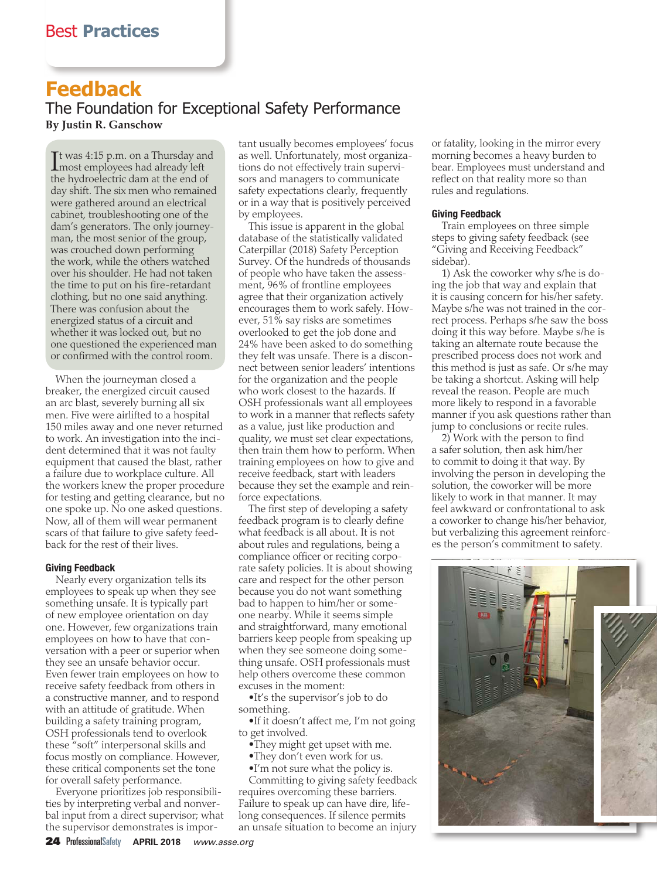# **Feedback**

The Foundation for Exceptional Safety Performance **By Justin R. Ganschow**

It was 4:15 p.m. on a Thursday an<br>
most employees had already left **T**t was 4:15 p.m. on a Thursday and the hydroelectric dam at the end of day shift. The six men who remained were gathered around an electrical cabinet, troubleshooting one of the dam's generators. The only journeyman, the most senior of the group, was crouched down performing the work, while the others watched over his shoulder. He had not taken the time to put on his fire-retardant clothing, but no one said anything. There was confusion about the energized status of a circuit and whether it was locked out, but no one questioned the experienced man or confirmed with the control room.

When the journeyman closed a breaker, the energized circuit caused an arc blast, severely burning all six men. Five were airlifted to a hospital 150 miles away and one never returned to work. An investigation into the incident determined that it was not faulty equipment that caused the blast, rather a failure due to workplace culture. All the workers knew the proper procedure for testing and getting clearance, but no one spoke up. No one asked questions. Now, all of them will wear permanent scars of that failure to give safety feedback for the rest of their lives.

### Giving Feedback

Nearly every organization tells its employees to speak up when they see something unsafe. It is typically part of new employee orientation on day one. However, few organizations train employees on how to have that conversation with a peer or superior when they see an unsafe behavior occur. Even fewer train employees on how to receive safety feedback from others in a constructive manner, and to respond with an attitude of gratitude. When building a safety training program, OSH professionals tend to overlook these "soft" interpersonal skills and focus mostly on compliance. However, these critical components set the tone for overall safety performance.

Everyone prioritizes job responsibilities by interpreting verbal and nonverbal input from a direct supervisor; what the supervisor demonstrates is important usually becomes employees' focus as well. Unfortunately, most organizations do not effectively train supervisors and managers to communicate safety expectations clearly, frequently or in a way that is positively perceived by employees.

This issue is apparent in the global database of the statistically validated Caterpillar (2018) Safety Perception Survey. Of the hundreds of thousands of people who have taken the assessment, 96% of frontline employees agree that their organization actively encourages them to work safely. However, 51% say risks are sometimes overlooked to get the job done and 24% have been asked to do something they felt was unsafe. There is a disconnect between senior leaders' intentions for the organization and the people who work closest to the hazards. If OSH professionals want all employees to work in a manner that reflects safety as a value, just like production and quality, we must set clear expectations, then train them how to perform. When training employees on how to give and receive feedback, start with leaders because they set the example and reinforce expectations.

The first step of developing a safety feedback program is to clearly define what feedback is all about. It is not about rules and regulations, being a compliance officer or reciting corporate safety policies. It is about showing care and respect for the other person because you do not want something bad to happen to him/her or someone nearby. While it seems simple and straightforward, many emotional barriers keep people from speaking up when they see someone doing something unsafe. OSH professionals must help others overcome these common excuses in the moment:

•It's the supervisor's job to do something.

•If it doesn't affect me, I'm not going to get involved.

- •They might get upset with me.
- •They don't even work for us. •I'm not sure what the policy is.

Committing to giving safety feedback requires overcoming these barriers. Failure to speak up can have dire, lifelong consequences. If silence permits an unsafe situation to become an injury or fatality, looking in the mirror every morning becomes a heavy burden to bear. Employees must understand and reflect on that reality more so than rules and regulations.

#### Giving Feedback

Train employees on three simple steps to giving safety feedback (see "Giving and Receiving Feedback" sidebar).

1) Ask the coworker why s/he is doing the job that way and explain that it is causing concern for his/her safety. Maybe s/he was not trained in the correct process. Perhaps s/he saw the boss doing it this way before. Maybe s/he is taking an alternate route because the prescribed process does not work and this method is just as safe. Or s/he may be taking a shortcut. Asking will help reveal the reason. People are much more likely to respond in a favorable manner if you ask questions rather than jump to conclusions or recite rules.

2) Work with the person to find a safer solution, then ask him/her to commit to doing it that way. By involving the person in developing the solution, the coworker will be more likely to work in that manner. It may feel awkward or confrontational to ask a coworker to change his/her behavior, but verbalizing this agreement reinforces the person's commitment to safety.